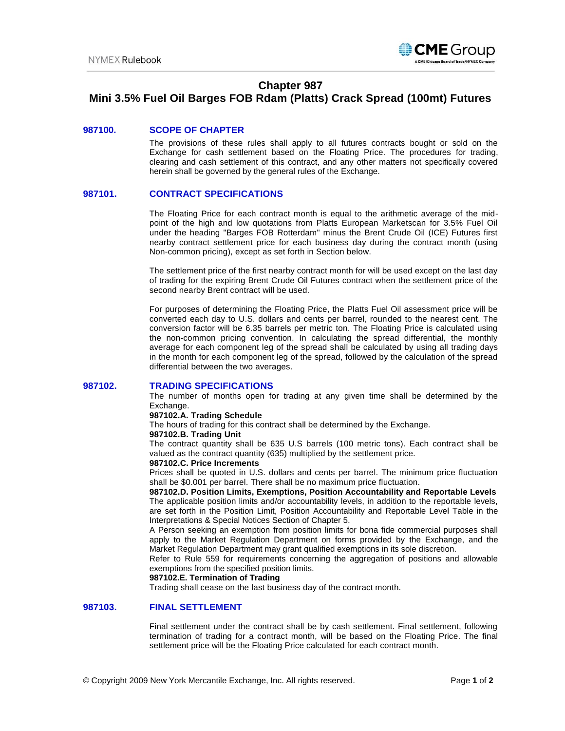

# **Chapter 987**

# **Mini 3.5% Fuel Oil Barges FOB Rdam (Platts) Crack Spread (100mt) Futures**

### **987100. SCOPE OF CHAPTER**

The provisions of these rules shall apply to all futures contracts bought or sold on the Exchange for cash settlement based on the Floating Price. The procedures for trading, clearing and cash settlement of this contract, and any other matters not specifically covered herein shall be governed by the general rules of the Exchange.

## **987101. CONTRACT SPECIFICATIONS**

The Floating Price for each contract month is equal to the arithmetic average of the midpoint of the high and low quotations from Platts European Marketscan for 3.5% Fuel Oil under the heading "Barges FOB Rotterdam" minus the Brent Crude Oil (ICE) Futures first nearby contract settlement price for each business day during the contract month (using Non-common pricing), except as set forth in Section below.

The settlement price of the first nearby contract month for will be used except on the last day of trading for the expiring Brent Crude Oil Futures contract when the settlement price of the second nearby Brent contract will be used.

For purposes of determining the Floating Price, the Platts Fuel Oil assessment price will be converted each day to U.S. dollars and cents per barrel, rounded to the nearest cent. The conversion factor will be 6.35 barrels per metric ton. The Floating Price is calculated using the non-common pricing convention. In calculating the spread differential, the monthly average for each component leg of the spread shall be calculated by using all trading days in the month for each component leg of the spread, followed by the calculation of the spread differential between the two averages.

#### **987102. TRADING SPECIFICATIONS**

The number of months open for trading at any given time shall be determined by the Exchange.

## **987102.A. Trading Schedule**

The hours of trading for this contract shall be determined by the Exchange.

#### **987102.B. Trading Unit**

The contract quantity shall be 635 U.S barrels (100 metric tons). Each contract shall be valued as the contract quantity (635) multiplied by the settlement price.

#### **987102.C. Price Increments**

Prices shall be quoted in U.S. dollars and cents per barrel. The minimum price fluctuation shall be \$0.001 per barrel. There shall be no maximum price fluctuation.

**987102.D. Position Limits, Exemptions, Position Accountability and Reportable Levels** The applicable position limits and/or accountability levels, in addition to the reportable levels, are set forth in the Position Limit, Position Accountability and Reportable Level Table in the Interpretations & Special Notices Section of Chapter 5.

A Person seeking an exemption from position limits for bona fide commercial purposes shall apply to the Market Regulation Department on forms provided by the Exchange, and the Market Regulation Department may grant qualified exemptions in its sole discretion.

Refer to Rule 559 for requirements concerning the aggregation of positions and allowable exemptions from the specified position limits.

#### **987102.E. Termination of Trading**

Trading shall cease on the last business day of the contract month.

#### **987103. FINAL SETTLEMENT**

Final settlement under the contract shall be by cash settlement. Final settlement, following termination of trading for a contract month, will be based on the Floating Price. The final settlement price will be the Floating Price calculated for each contract month.